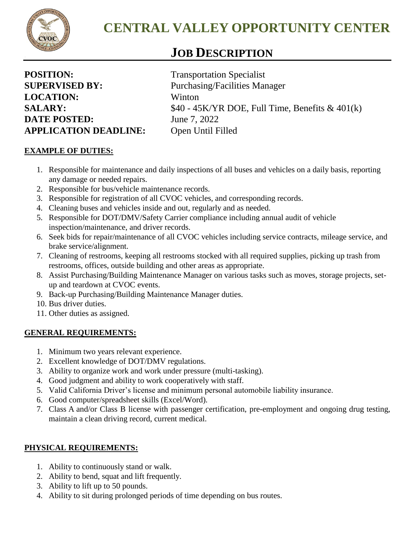

# *<sup>J</sup>* **JOB DESCRIPTION**

| <b>POSITION:</b> |                             |
|------------------|-----------------------------|
|                  | <b>SUPERVISED BY:</b>       |
|                  | <b>LOCATION:</b>            |
| <b>SALARY:</b>   |                             |
|                  | <b>DATE POSTED:</b>         |
|                  | <b>APPLICATION DEADLINE</b> |

**Transportation Specialist** Purchasing/Facilities Manager **LOCATION:** Winton \$40 - 45K/YR DOE, Full Time, Benefits & 401(k) **June 7, 2022 APPLICATION DEADLINE:** Open Until Filled

## **EXAMPLE OF DUTIES:**

- 1. Responsible for maintenance and daily inspections of all buses and vehicles on a daily basis, reporting any damage or needed repairs.
- 2. Responsible for bus/vehicle maintenance records.
- 3. Responsible for registration of all CVOC vehicles, and corresponding records.
- 4. Cleaning buses and vehicles inside and out, regularly and as needed.
- 5. Responsible for DOT/DMV/Safety Carrier compliance including annual audit of vehicle inspection/maintenance, and driver records.
- 6. Seek bids for repair/maintenance of all CVOC vehicles including service contracts, mileage service, and brake service/alignment.
- 7. Cleaning of restrooms, keeping all restrooms stocked with all required supplies, picking up trash from restrooms, offices, outside building and other areas as appropriate.
- 8. Assist Purchasing/Building Maintenance Manager on various tasks such as moves, storage projects, setup and teardown at CVOC events.
- 9. Back-up Purchasing/Building Maintenance Manager duties.
- 10. Bus driver duties.
- 11. Other duties as assigned.

### **GENERAL REQUIREMENTS:**

- 1. Minimum two years relevant experience.
- 2. Excellent knowledge of DOT/DMV regulations.
- 3. Ability to organize work and work under pressure (multi-tasking).
- 4. Good judgment and ability to work cooperatively with staff.
- 5. Valid California Driver's license and minimum personal automobile liability insurance.
- 6. Good computer/spreadsheet skills (Excel/Word).
- 7. Class A and/or Class B license with passenger certification, pre-employment and ongoing drug testing, maintain a clean driving record, current medical.

### **PHYSICAL REQUIREMENTS:**

- 1. Ability to continuously stand or walk.
- 2. Ability to bend, squat and lift frequently.
- 3. Ability to lift up to 50 pounds.
- 4. Ability to sit during prolonged periods of time depending on bus routes.